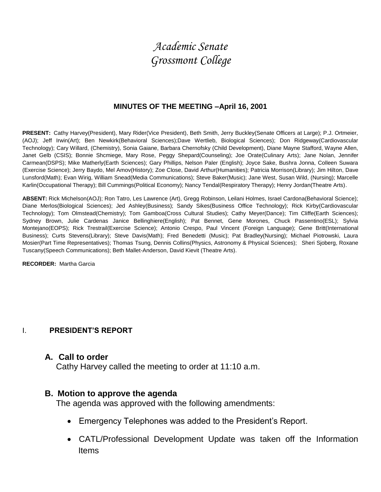# *Academic Senate Grossmont College*

#### **MINUTES OF THE MEETING –April 16, 2001**

**PRESENT:** Cathy Harvey(President), Mary Rider(Vice President), Beth Smith, Jerry Buckley(Senate Officers at Large); P.J. Ortmeier, (AOJ); Jeff Irwin(Art); Ben Newkirk(Behavioral Sciences);Dave Wertlieb, Biological Sciences); Don Ridgeway(Cardiovascular Technology); Cary Willard, (Chemistry), Sonia Gaiane, Barbara Chernofsky (Child Development), Diane Mayne Stafford, Wayne Allen, Janet Gelb (CSIS); Bonnie Shcmiege, Mary Rose, Peggy Shepard(Counseling); Joe Orate(Culinary Arts); Jane Nolan, Jennifer Carmean(DSPS); Mike Matherly(Earth Sciences); Gary Phillips, Nelson Paler (English); Joyce Sake, Bushra Jonna, Colleen Suwara (Exercise Science); Jerry Baydo, Mel Amov(History); Zoe Close, David Arthur(Humanities); Patricia Morrison(Library); Jim Hilton, Dave Lunsford(Math); Evan Wirig, William Snead(Media Communications); Steve Baker(Music); Jane West, Susan Wild, (Nursing); Marcelle Karlin(Occupational Therapy); Bill Cummings(Political Economy); Nancy Tendal(Respiratory Therapy); Henry Jordan(Theatre Arts).

**ABSENT:** Rick Michelson(AOJ); Ron Tatro, Les Lawrence (Art), Gregg Robinson, Leilani Holmes, Israel Cardona(Behavioral Science); Diane Merlos(Biological Sciences); Jed Ashley(Business); Sandy Sikes(Business Office Technology); Rick Kirby(Cardiovascular Technology); Tom Olmstead(Chemistry); Tom Gamboa(Cross Cultural Studies); Cathy Meyer(Dance); Tim Cliffe(Earth Sciences); Sydney Brown, Julie Cardenas Janice Bellinghiere(English); Pat Bennet, Gene Morones, Chuck Passentino(ESL); Sylvia Montejano(EOPS); Rick Trestrail(Exercise Science); Antonio Crespo, Paul Vincent (Foreign Language); Gene Britt(International Business); Curts Stevens(Library); Steve Davis(Math); Fred Benedetti (Music); Pat Bradley(Nursing); Michael Piotrowski, Laura Mosier(Part Time Representatives); Thomas Tsung, Dennis Collins(Physics, Astronomy & Physical Sciences); Sheri Sjoberg, Roxane Tuscany(Speech Communications); Beth Mallet-Anderson, David Kievit (Theatre Arts).

**RECORDER:** Martha Garcia

#### I. **PRESIDENT'S REPORT**

#### **A. Call to order**

Cathy Harvey called the meeting to order at 11:10 a.m.

#### **B. Motion to approve the agenda**

The agenda was approved with the following amendments:

- Emergency Telephones was added to the President's Report.
- CATL/Professional Development Update was taken off the Information Items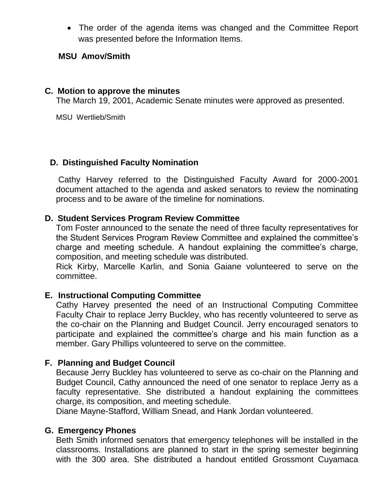The order of the agenda items was changed and the Committee Report was presented before the Information Items.

### **MSU Amov/Smith**

### **C. Motion to approve the minutes**

The March 19, 2001, Academic Senate minutes were approved as presented.

MSU Wertlieb/Smith

### **D. Distinguished Faculty Nomination**

Cathy Harvey referred to the Distinguished Faculty Award for 2000-2001 document attached to the agenda and asked senators to review the nominating process and to be aware of the timeline for nominations.

## **D. Student Services Program Review Committee**

Tom Foster announced to the senate the need of three faculty representatives for the Student Services Program Review Committee and explained the committee's charge and meeting schedule. A handout explaining the committee's charge, composition, and meeting schedule was distributed.

Rick Kirby, Marcelle Karlin, and Sonia Gaiane volunteered to serve on the committee.

# **E. Instructional Computing Committee**

Cathy Harvey presented the need of an Instructional Computing Committee Faculty Chair to replace Jerry Buckley, who has recently volunteered to serve as the co-chair on the Planning and Budget Council. Jerry encouraged senators to participate and explained the committee's charge and his main function as a member. Gary Phillips volunteered to serve on the committee.

# **F. Planning and Budget Council**

Because Jerry Buckley has volunteered to serve as co-chair on the Planning and Budget Council, Cathy announced the need of one senator to replace Jerry as a faculty representative. She distributed a handout explaining the committees charge, its composition, and meeting schedule.

Diane Mayne-Stafford, William Snead, and Hank Jordan volunteered.

### **G. Emergency Phones**

Beth Smith informed senators that emergency telephones will be installed in the classrooms. Installations are planned to start in the spring semester beginning with the 300 area. She distributed a handout entitled Grossmont Cuyamaca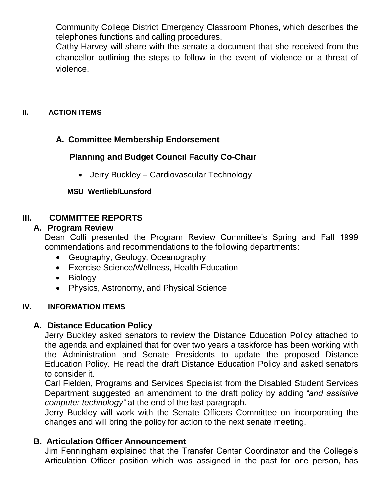Community College District Emergency Classroom Phones, which describes the telephones functions and calling procedures.

Cathy Harvey will share with the senate a document that she received from the chancellor outlining the steps to follow in the event of violence or a threat of violence.

## **II. ACTION ITEMS**

# **A. Committee Membership Endorsement**

# **Planning and Budget Council Faculty Co-Chair**

• Jerry Buckley – Cardiovascular Technology

### **MSU Wertlieb/Lunsford**

# **III. COMMITTEE REPORTS**

## **A. Program Review**

Dean Colli presented the Program Review Committee's Spring and Fall 1999 commendations and recommendations to the following departments:

- Geography, Geology, Oceanography
- Exercise Science/Wellness, Health Education
- Biology
- Physics, Astronomy, and Physical Science

### **IV. INFORMATION ITEMS**

# **A. Distance Education Policy**

Jerry Buckley asked senators to review the Distance Education Policy attached to the agenda and explained that for over two years a taskforce has been working with the Administration and Senate Presidents to update the proposed Distance Education Policy. He read the draft Distance Education Policy and asked senators to consider it.

Carl Fielden, Programs and Services Specialist from the Disabled Student Services Department suggested an amendment to the draft policy by adding *"and assistive computer technology"* at the end of the last paragraph.

Jerry Buckley will work with the Senate Officers Committee on incorporating the changes and will bring the policy for action to the next senate meeting.

### **B. Articulation Officer Announcement**

Jim Fenningham explained that the Transfer Center Coordinator and the College's Articulation Officer position which was assigned in the past for one person, has